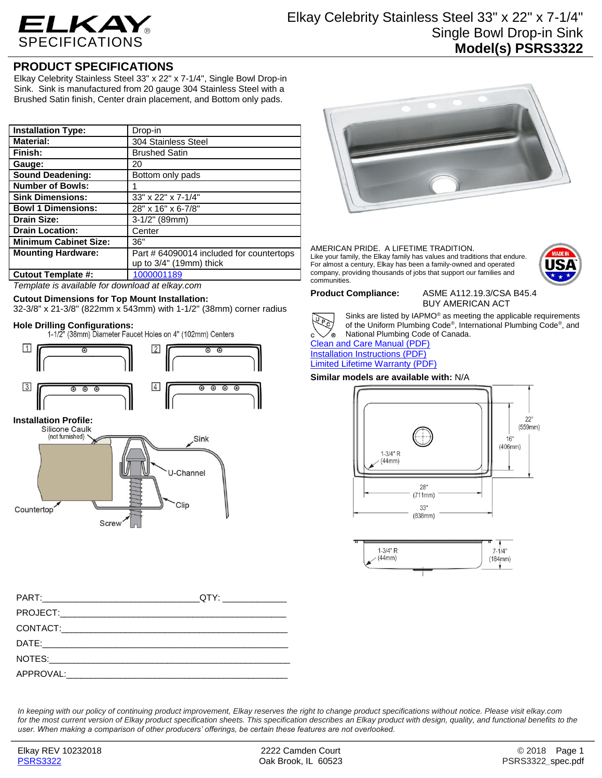

## **PRODUCT SPECIFICATIONS**

Elkay Celebrity Stainless Steel 33" x 22" x 7-1/4", Single Bowl Drop-in Sink. Sink is manufactured from 20 gauge 304 Stainless Steel with a Brushed Satin finish, Center drain placement, and Bottom only pads.

| <b>Installation Type:</b>    | Drop-in                                  |
|------------------------------|------------------------------------------|
| <b>Material:</b>             | 304 Stainless Steel                      |
| Finish:                      | <b>Brushed Satin</b>                     |
| Gauge:                       | 20                                       |
| <b>Sound Deadening:</b>      | Bottom only pads                         |
| <b>Number of Bowls:</b>      |                                          |
| <b>Sink Dimensions:</b>      | 33" x 22" x 7-1/4"                       |
| <b>Bowl 1 Dimensions:</b>    | 28" x 16" x 6-7/8"                       |
| <b>Drain Size:</b>           | $3-1/2"$ (89mm)                          |
| <b>Drain Location:</b>       | Center                                   |
| <b>Minimum Cabinet Size:</b> | 36"                                      |
| <b>Mounting Hardware:</b>    | Part # 64090014 included for countertops |
|                              | up to $3/4$ " (19mm) thick               |
| <b>Cutout Template #:</b>    | 1000001189                               |

*Template is available for download at elkay.com*

## **Cutout Dimensions for Top Mount Installation:**

32-3/8" x 21-3/8" (822mm x 543mm) with 1-1/2" (38mm) corner radius

Hole Drilling Configurations:<br>1-1/2" (38mm) Diameter Faucet Holes on 4" (102mm) Centers



# **Installation Profile:**



| APPROVAL: APPROVAL: |  |
|---------------------|--|



#### AMERICAN PRIDE. A LIFETIME TRADITION. Like your family, the Elkay family has values and traditions that endure. For almost a century, Elkay has been a family-owned and operated company, providing thousands of jobs that support our families and communities.



**Product Compliance:** ASME A112.19.3/CSA B45.4 BUY AMERICAN ACT



Sinks are listed by IAPMO® as meeting the applicable requirements of the Uniform Plumbing Code® , International Plumbing Code® , and National Plumbing Code of Canada.

[Clean and Care Manual \(PDF\)](http://www.elkay.com/wcsstore/lkdocs/care-cleaning-install-warranty-sheets/residential%20and%20commercial%20care%20%20cleaning.pdf) [Installation Instructions \(PDF\)](http://www.elkay.com/wcsstore/lkdocs/care-cleaning-install-warranty-sheets/74180147.pdf) [Limited Lifetime Warranty](http://www.elkay.com/wcsstore/lkdocs/care-cleaning-install-warranty-sheets/residential%20sinks%20warranty.pdf) (PDF)

### **Similar models are available with:** N/A





*In keeping with our policy of continuing product improvement, Elkay reserves the right to change product specifications without notice. Please visit elkay.com*  for the most current version of Elkay product specification sheets. This specification describes an Elkay product with design, quality, and functional benefits to the *user. When making a comparison of other producers' offerings, be certain these features are not overlooked.*